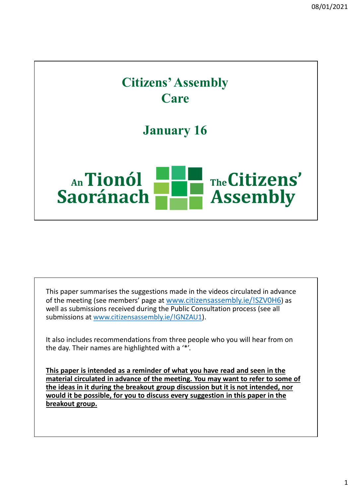

This paper summarises the suggestions made in the videos circulated in advance of the meeting (see members' page at www.citizensassembly.ie/!SZV0H6) as well as submissions received during the Public Consultation process (see all submissions at www.citizensassembly.ie/!GNZAU1).

It also includes recommendations from three people who you will hear from on the day. Their names are highlighted with a '\*'.

This paper is intended as a reminder of what you have read and seen in the material circulated in advance of the meeting. You may want to refer to some of the ideas in it during the breakout group discussion but it is not intended, nor would it be possible, for you to discuss every suggestion in this paper in the breakout group.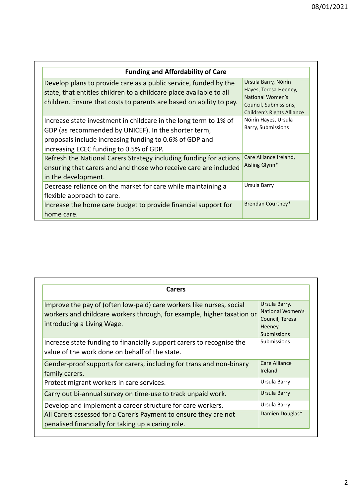|                                                                                                                                                                                                                                |                                                                                                         | 08/01/2021 |
|--------------------------------------------------------------------------------------------------------------------------------------------------------------------------------------------------------------------------------|---------------------------------------------------------------------------------------------------------|------------|
|                                                                                                                                                                                                                                |                                                                                                         |            |
| <b>Funding and Affordability of Care</b>                                                                                                                                                                                       | Ursula Barry, Nóirín                                                                                    |            |
| Develop plans to provide care as a public service, funded by the<br>state, that entitles children to a childcare place available to all<br>children. Ensure that costs to parents are based on ability to pay.                 | Hayes, Teresa Heeney,<br><b>National Women's</b><br>Council, Submissions,<br>Children's Rights Alliance |            |
| Increase state investment in childcare in the long term to 1% of<br>GDP (as recommended by UNICEF). In the shorter term,<br>proposals include increasing funding to 0.6% of GDP and<br>increasing ECEC funding to 0.5% of GDP. | Nóirín Hayes, Ursula<br>Barry, Submissions                                                              |            |
| Refresh the National Carers Strategy including funding for actions<br>ensuring that carers and and those who receive care are included<br>in the development.                                                                  | Care Alliance Ireland,<br>Aisling Glynn*                                                                |            |
| Decrease reliance on the market for care while maintaining a<br>flexible approach to care.                                                                                                                                     | Ursula Barry                                                                                            |            |
| Increase the home care budget to provide financial support for<br>home care.                                                                                                                                                   | Brendan Courtney*                                                                                       |            |
|                                                                                                                                                                                                                                |                                                                                                         |            |

| <b>Carers</b>                                                                                                                                                                |                                                                                |
|------------------------------------------------------------------------------------------------------------------------------------------------------------------------------|--------------------------------------------------------------------------------|
| Improve the pay of (often low-paid) care workers like nurses, social<br>workers and childcare workers through, for example, higher taxation or<br>introducing a Living Wage. | Ursula Barry,<br>National Women's<br>Council, Teresa<br>Heeney,<br>Submissions |
| Increase state funding to financially support carers to recognise the<br>value of the work done on behalf of the state.                                                      | Submissions                                                                    |
| Gender-proof supports for carers, including for trans and non-binary<br>family carers.                                                                                       | Care Alliance<br>Ireland                                                       |
| Protect migrant workers in care services.                                                                                                                                    | Ursula Barry                                                                   |
| Carry out bi-annual survey on time-use to track unpaid work.                                                                                                                 | Ursula Barry                                                                   |
| Develop and implement a career structure for care workers.                                                                                                                   | Ursula Barry                                                                   |
| All Carers assessed for a Carer's Payment to ensure they are not<br>penalised financially for taking up a caring role.                                                       | Damien Douglas*                                                                |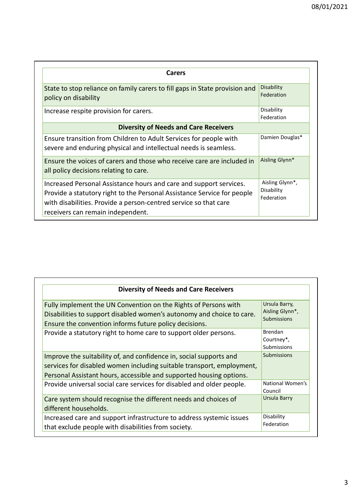| <b>Carers</b>                                                                                                                                                                                                                                          |                                             |
|--------------------------------------------------------------------------------------------------------------------------------------------------------------------------------------------------------------------------------------------------------|---------------------------------------------|
| State to stop reliance on family carers to fill gaps in State provision and<br>policy on disability                                                                                                                                                    | <b>Disability</b><br>Federation             |
| Increase respite provision for carers.                                                                                                                                                                                                                 | Disability<br>Federation                    |
| <b>Diversity of Needs and Care Receivers</b>                                                                                                                                                                                                           |                                             |
| Ensure transition from Children to Adult Services for people with<br>severe and enduring physical and intellectual needs is seamless.                                                                                                                  | Damien Douglas*                             |
| Ensure the voices of carers and those who receive care are included in<br>all policy decisions relating to care.                                                                                                                                       | Aisling Glynn*                              |
| Increased Personal Assistance hours and care and support services.<br>Provide a statutory right to the Personal Assistance Service for people<br>with disabilities. Provide a person-centred service so that care<br>receivers can remain independent. | Aisling Glynn*,<br>Disability<br>Federation |

| <b>Diversity of Needs and Care Receivers</b>                                                                                                                                                                       |                                                        |
|--------------------------------------------------------------------------------------------------------------------------------------------------------------------------------------------------------------------|--------------------------------------------------------|
| Fully implement the UN Convention on the Rights of Persons with<br>Disabilities to support disabled women's autonomy and choice to care.<br>Ensure the convention informs future policy decisions.                 | Ursula Barry,<br>Aisling Glynn*,<br><b>Submissions</b> |
| Provide a statutory right to home care to support older persons.                                                                                                                                                   | <b>Brendan</b><br>Courtney*,<br>Submissions            |
| Improve the suitability of, and confidence in, social supports and<br>services for disabled women including suitable transport, employment,<br>Personal Assistant hours, accessible and supported housing options. | <b>Submissions</b>                                     |
| Provide universal social care services for disabled and older people.                                                                                                                                              | National Women's<br>Council                            |
| Care system should recognise the different needs and choices of<br>different households.                                                                                                                           | Ursula Barry                                           |
| Increased care and support infrastructure to address systemic issues<br>that exclude people with disabilities from society.                                                                                        | Disability<br>Federation                               |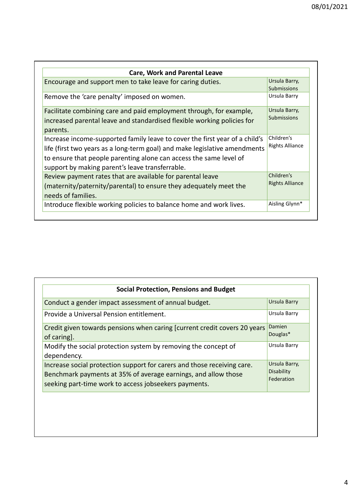| <b>Care, Work and Parental Leave</b>                                        |                        |
|-----------------------------------------------------------------------------|------------------------|
| Encourage and support men to take leave for caring duties.                  | Ursula Barry,          |
|                                                                             | <b>Submissions</b>     |
| Remove the 'care penalty' imposed on women.                                 | Ursula Barry           |
| Facilitate combining care and paid employment through, for example,         | Ursula Barry,          |
| increased parental leave and standardised flexible working policies for     | <b>Submissions</b>     |
| parents.                                                                    |                        |
| Increase income-supported family leave to cover the first year of a child's | Children's             |
| life (first two years as a long-term goal) and make legislative amendments  | <b>Rights Alliance</b> |
| to ensure that people parenting alone can access the same level of          |                        |
| support by making parent's leave transferrable.                             |                        |
| Review payment rates that are available for parental leave                  | Children's             |
| (maternity/paternity/parental) to ensure they adequately meet the           | <b>Rights Alliance</b> |
| needs of families.                                                          |                        |
| Introduce flexible working policies to balance home and work lives.         | Aisling Glynn*         |

| <b>Social Protection, Pensions and Budget</b>                                                                                                                                                      |                                                  |
|----------------------------------------------------------------------------------------------------------------------------------------------------------------------------------------------------|--------------------------------------------------|
| Conduct a gender impact assessment of annual budget.                                                                                                                                               | <b>Ursula Barry</b>                              |
| Provide a Universal Pension entitlement.                                                                                                                                                           | Ursula Barry                                     |
| Credit given towards pensions when caring [current credit covers 20 years<br>of caring].                                                                                                           | Damien<br>Douglas*                               |
| Modify the social protection system by removing the concept of<br>dependency.                                                                                                                      | Ursula Barry                                     |
| Increase social protection support for carers and those receiving care.<br>Benchmark payments at 35% of average earnings, and allow those<br>seeking part-time work to access jobseekers payments. | Ursula Barry,<br><b>Disability</b><br>Federation |